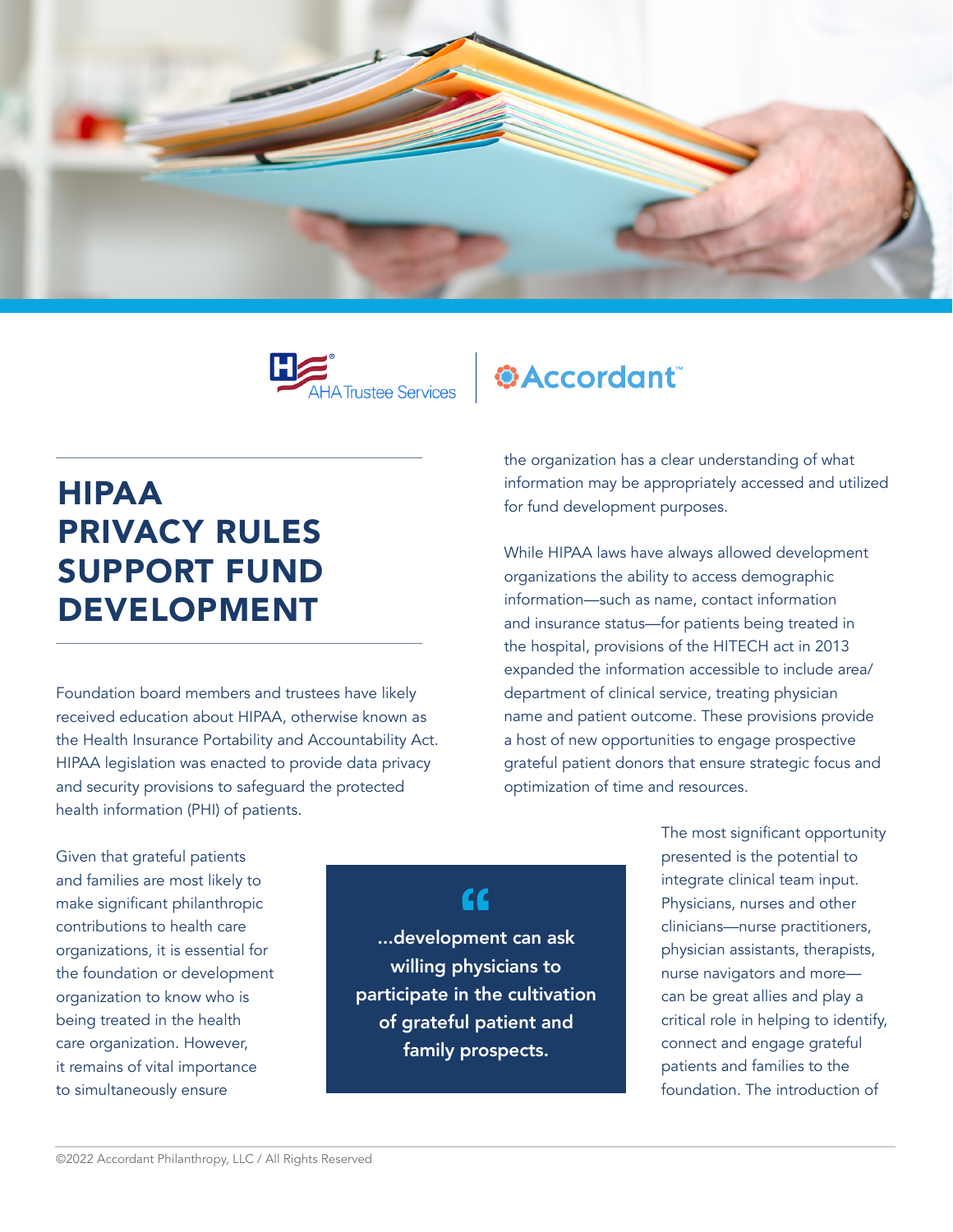



## HIPAA PRIVACY RULES SUPPORT FUND DEVELOPMENT

Foundation board members and trustees have likely received education about HIPAA, otherwise known as the Health Insurance Portability and Accountability Act. HIPAA legislation was enacted to provide data privacy and security provisions to safeguard the protected health information (PHI) of patients.

*<u>\*Accordant</u>* 

the organization has a clear understanding of what information may be appropriately accessed and utilized for fund development purposes.

While HIPAA laws have always allowed development organizations the ability to access demographic information—such as name, contact information and insurance status—for patients being treated in the hospital, provisions of the HITECH act in 2013 expanded the information accessible to include area/ department of clinical service, treating physician name and patient outcome. These provisions provide a host of new opportunities to engage prospective grateful patient donors that ensure strategic focus and optimization of time and resources.

Given that grateful patients and families are most likely to make significant philanthropic contributions to health care organizations, it is essential for the foundation or development organization to know who is being treated in the health care organization. However, it remains of vital importance to simultaneously ensure

## $cc$

...development can ask willing physicians to participate in the cultivation of grateful patient and family prospects.

The most significant opportunity presented is the potential to integrate clinical team input. Physicians, nurses and other clinicians—nurse practitioners, physician assistants, therapists, nurse navigators and more can be great allies and play a critical role in helping to identify, connect and engage grateful patients and families to the foundation. The introduction of